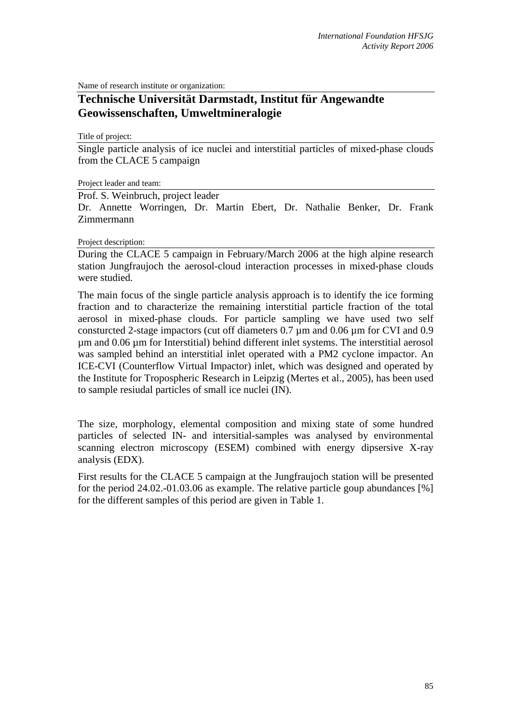Name of research institute or organization:

## **Technische Universität Darmstadt, Institut für Angewandte Geowissenschaften, Umweltmineralogie**

Title of project:

Single particle analysis of ice nuclei and interstitial particles of mixed-phase clouds from the CLACE 5 campaign

Project leader and team:

Prof. S. Weinbruch, project leader

Dr. Annette Worringen, Dr. Martin Ebert, Dr. Nathalie Benker, Dr. Frank Zimmermann

## Project description:

During the CLACE 5 campaign in February/March 2006 at the high alpine research station Jungfraujoch the aerosol-cloud interaction processes in mixed-phase clouds were studied.

The main focus of the single particle analysis approach is to identify the ice forming fraction and to characterize the remaining interstitial particle fraction of the total aerosol in mixed-phase clouds. For particle sampling we have used two self consturcted 2-stage impactors (cut off diameters 0.7 µm and 0.06 µm for CVI and 0.9 µm and 0.06 µm for Interstitial) behind different inlet systems. The interstitial aerosol was sampled behind an interstitial inlet operated with a PM2 cyclone impactor. An ICE-CVI (Counterflow Virtual Impactor) inlet, which was designed and operated by the Institute for Tropospheric Research in Leipzig (Mertes et al., 2005), has been used to sample resiudal particles of small ice nuclei (IN).

The size, morphology, elemental composition and mixing state of some hundred particles of selected IN- and intersitial-samples was analysed by environmental scanning electron microscopy (ESEM) combined with energy dipsersive X-ray analysis (EDX).

First results for the CLACE 5 campaign at the Jungfraujoch station will be presented for the period 24.02.-01.03.06 as example. The relative particle goup abundances [%] for the different samples of this period are given in Table 1.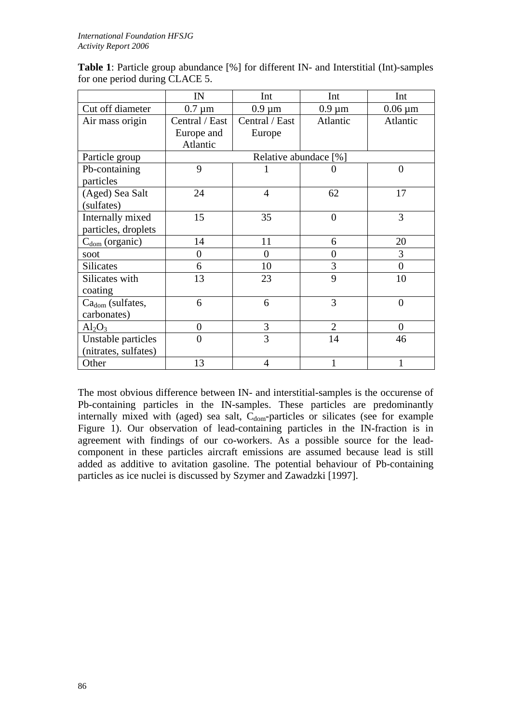| <b>Table 1:</b> Particle group abundance [%] for different IN- and Interstitial (Int)-samples |  |  |
|-----------------------------------------------------------------------------------------------|--|--|
| for one period during CLACE 5.                                                                |  |  |

|                              | IN                    | Int            | Int            | Int            |  |
|------------------------------|-----------------------|----------------|----------------|----------------|--|
| Cut off diameter             | $0.7 \mu m$           | $0.9 \mu m$    | $0.9 \mu m$    | $0.06 \mu m$   |  |
| Air mass origin              | Central / East        | Central / East | Atlantic       | Atlantic       |  |
|                              | Europe and            | Europe         |                |                |  |
|                              | Atlantic              |                |                |                |  |
| Particle group               | Relative abundace [%] |                |                |                |  |
| Pb-containing                | 9                     |                |                | $\overline{0}$ |  |
| particles                    |                       |                |                |                |  |
| (Aged) Sea Salt              | 24                    | 4              | 62             | 17             |  |
| (sulfates)                   |                       |                |                |                |  |
| Internally mixed             | 15                    | 35             | $\overline{0}$ | 3              |  |
| particles, droplets          |                       |                |                |                |  |
| $Cdom$ (organic)             | 14                    | 11             | 6              | 20             |  |
| soot                         | $\boldsymbol{0}$      | $\overline{0}$ | $\overline{0}$ | 3              |  |
| <b>Silicates</b>             | 6                     | 10             | 3              | $\theta$       |  |
| Silicates with               | 13                    | 23             | 9              | 10             |  |
| coating                      |                       |                |                |                |  |
| Ca <sub>dom</sub> (sulfates, | 6                     | 6              | 3              | $\overline{0}$ |  |
| carbonates)                  |                       |                |                |                |  |
| $Al_2O_3$                    | $\overline{0}$        | 3              | $\overline{2}$ | $\Omega$       |  |
| Unstable particles           | $\theta$              | 3              | 14             | 46             |  |
| (nitrates, sulfates)         |                       |                |                |                |  |
| Other                        | 13                    | $\overline{4}$ |                |                |  |

The most obvious difference between IN- and interstitial-samples is the occurense of Pb-containing particles in the IN-samples. These particles are predominantly internally mixed with (aged) sea salt,  $C_{dom}$ -particles or silicates (see for example Figure 1). Our observation of lead-containing particles in the IN-fraction is in agreement with findings of our co-workers. As a possible source for the leadcomponent in these particles aircraft emissions are assumed because lead is still added as additive to avitation gasoline. The potential behaviour of Pb-containing particles as ice nuclei is discussed by Szymer and Zawadzki [1997].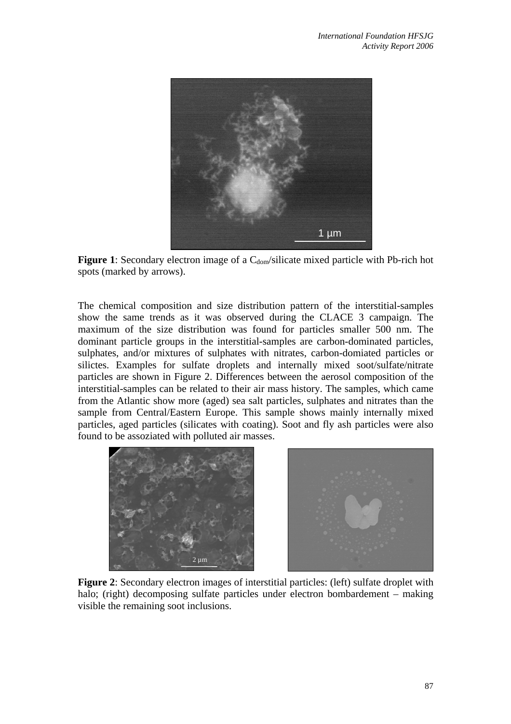

**Figure 1**: Secondary electron image of a  $C_{\text{dom}}$ /silicate mixed particle with Pb-rich hot spots (marked by arrows).

The chemical composition and size distribution pattern of the interstitial-samples show the same trends as it was observed during the CLACE 3 campaign. The maximum of the size distribution was found for particles smaller 500 nm. The dominant particle groups in the interstitial-samples are carbon-dominated particles, sulphates, and/or mixtures of sulphates with nitrates, carbon-domiated particles or silictes. Examples for sulfate droplets and internally mixed soot/sulfate/nitrate particles are shown in Figure 2. Differences between the aerosol composition of the interstitial-samples can be related to their air mass history. The samples, which came from the Atlantic show more (aged) sea salt particles, sulphates and nitrates than the sample from Central/Eastern Europe. This sample shows mainly internally mixed particles, aged particles (silicates with coating). Soot and fly ash particles were also found to be assoziated with polluted air masses.



**Figure 2**: Secondary electron images of interstitial particles: (left) sulfate droplet with halo; (right) decomposing sulfate particles under electron bombardement – making visible the remaining soot inclusions.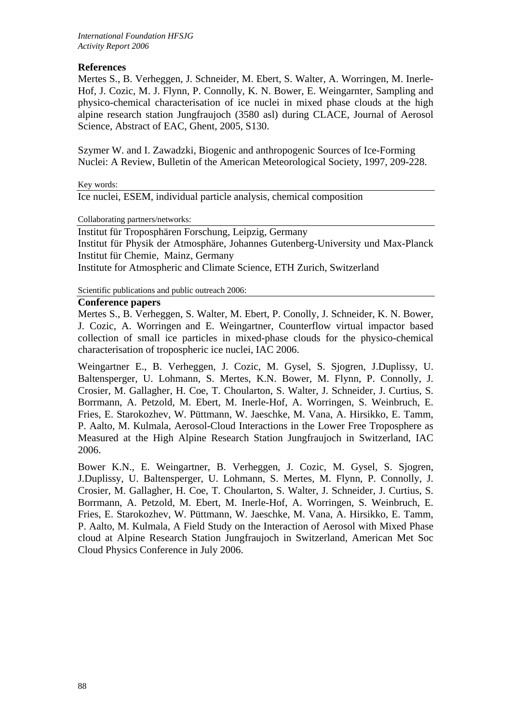## **References**

Mertes S., B. Verheggen, J. Schneider, M. Ebert, S. Walter, A. Worringen, M. Inerle-Hof, J. Cozic, M. J. Flynn, P. Connolly, K. N. Bower, E. Weingarnter, Sampling and physico-chemical characterisation of ice nuclei in mixed phase clouds at the high alpine research station Jungfraujoch (3580 asl) during CLACE, Journal of Aerosol Science, Abstract of EAC, Ghent, 2005, S130.

Szymer W. and I. Zawadzki, Biogenic and anthropogenic Sources of Ice-Forming Nuclei: A Review, Bulletin of the American Meteorological Society, 1997, 209-228.

Key words:

Ice nuclei, ESEM, individual particle analysis, chemical composition

Collaborating partners/networks:

Institut für Troposphären Forschung, Leipzig, Germany Institut für Physik der Atmosphäre, Johannes Gutenberg-University und Max-Planck Institut für Chemie, Mainz, Germany Institute for Atmospheric and Climate Science, ETH Zurich, Switzerland

Scientific publications and public outreach 2006:

## **Conference papers**

Mertes S., B. Verheggen, S. Walter, M. Ebert, P. Conolly, J. Schneider, K. N. Bower, J. Cozic, A. Worringen and E. Weingartner, Counterflow virtual impactor based collection of small ice particles in mixed-phase clouds for the physico-chemical characterisation of tropospheric ice nuclei, IAC 2006.

Weingartner E., B. Verheggen, J. Cozic, M. Gysel, S. Sjogren, J.Duplissy, U. Baltensperger, U. Lohmann, S. Mertes, K.N. Bower, M. Flynn, P. Connolly, J. Crosier, M. Gallagher, H. Coe, T. Choularton, S. Walter, J. Schneider, J. Curtius, S. Borrmann, A. Petzold, M. Ebert, M. Inerle-Hof, A. Worringen, S. Weinbruch, E. Fries, E. Starokozhev, W. Püttmann, W. Jaeschke, M. Vana, A. Hirsikko, E. Tamm, P. Aalto, M. Kulmala, Aerosol-Cloud Interactions in the Lower Free Troposphere as Measured at the High Alpine Research Station Jungfraujoch in Switzerland, IAC 2006.

Bower K.N., E. Weingartner, B. Verheggen, J. Cozic, M. Gysel, S. Sjogren, J.Duplissy, U. Baltensperger, U. Lohmann, S. Mertes, M. Flynn, P. Connolly, J. Crosier, M. Gallagher, H. Coe, T. Choularton, S. Walter, J. Schneider, J. Curtius, S. Borrmann, A. Petzold, M. Ebert, M. Inerle-Hof, A. Worringen, S. Weinbruch, E. Fries, E. Starokozhev, W. Püttmann, W. Jaeschke, M. Vana, A. Hirsikko, E. Tamm, P. Aalto, M. Kulmala, A Field Study on the Interaction of Aerosol with Mixed Phase cloud at Alpine Research Station Jungfraujoch in Switzerland, American Met Soc Cloud Physics Conference in July 2006.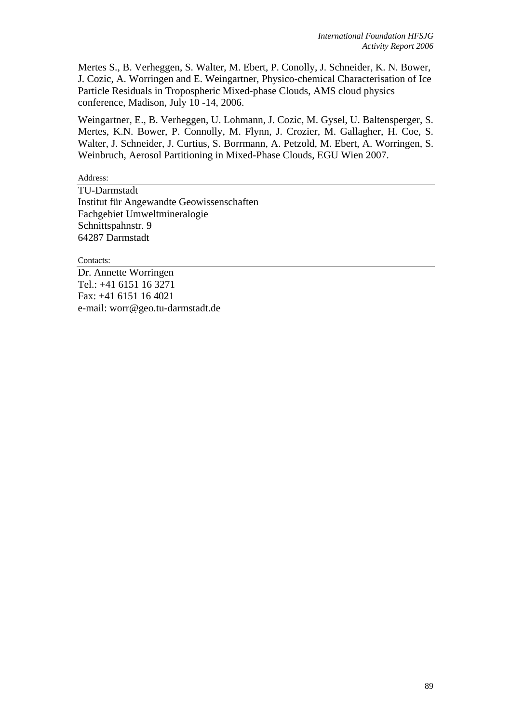Mertes S., B. Verheggen, S. Walter, M. Ebert, P. Conolly, J. Schneider, K. N. Bower, J. Cozic, A. Worringen and E. Weingartner, Physico-chemical Characterisation of Ice Particle Residuals in Tropospheric Mixed-phase Clouds, AMS cloud physics conference, Madison, July 10 -14, 2006.

Weingartner, E., B. Verheggen, U. Lohmann, J. Cozic, M. Gysel, U. Baltensperger, S. Mertes, K.N. Bower, P. Connolly, M. Flynn, J. Crozier, M. Gallagher, H. Coe, S. Walter, J. Schneider, J. Curtius, S. Borrmann, A. Petzold, M. Ebert, A. Worringen, S. Weinbruch, Aerosol Partitioning in Mixed-Phase Clouds, EGU Wien 2007.

Address:

TU-Darmstadt Institut für Angewandte Geowissenschaften Fachgebiet Umweltmineralogie Schnittspahnstr. 9 64287 Darmstadt

Contacts:

Dr. Annette Worringen Tel.: +41 6151 16 3271 Fax: +41 6151 16 4021 e-mail: worr@geo.tu-darmstadt.de